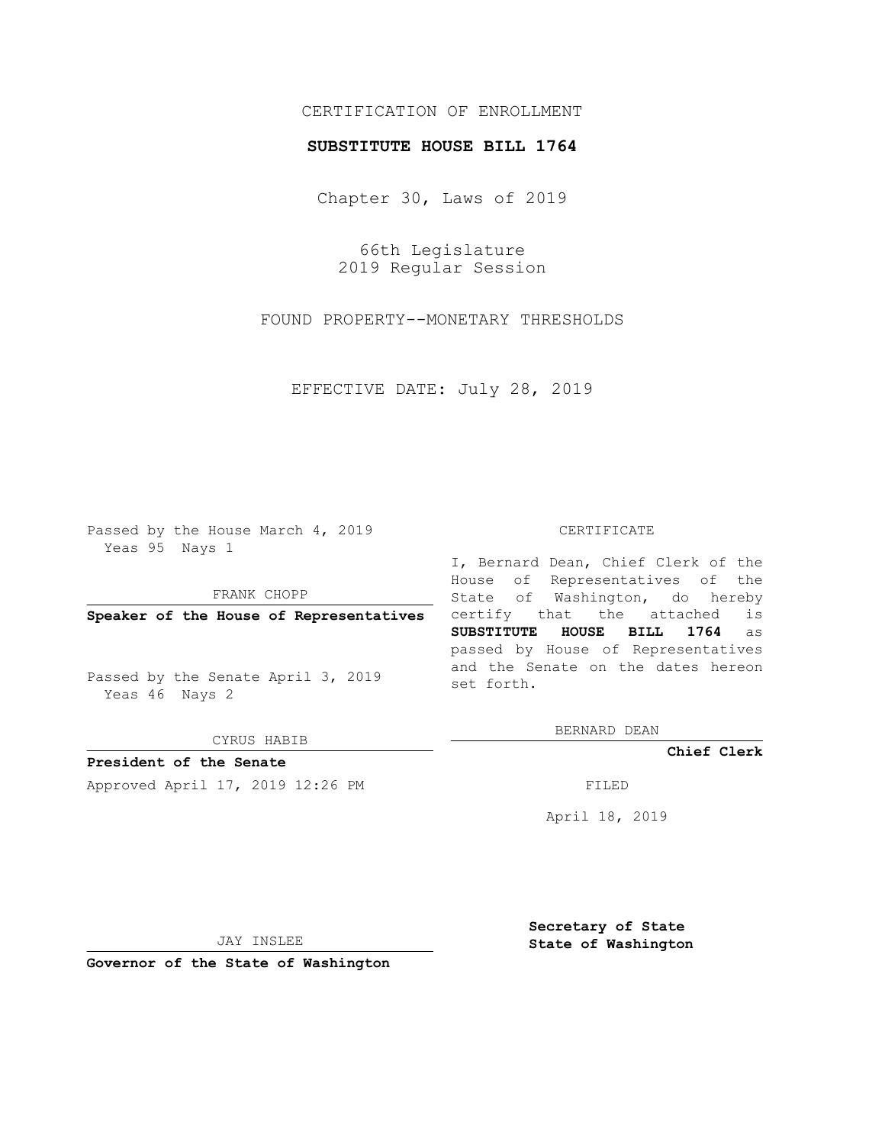# CERTIFICATION OF ENROLLMENT

### **SUBSTITUTE HOUSE BILL 1764**

Chapter 30, Laws of 2019

66th Legislature 2019 Regular Session

FOUND PROPERTY--MONETARY THRESHOLDS

EFFECTIVE DATE: July 28, 2019

Passed by the House March 4, 2019 Yeas 95 Nays 1

FRANK CHOPP

**Speaker of the House of Representatives**

Passed by the Senate April 3, 2019 Yeas 46 Nays 2

CYRUS HABIB

**President of the Senate**

Approved April 17, 2019 12:26 PM FILED

#### CERTIFICATE

I, Bernard Dean, Chief Clerk of the House of Representatives of the State of Washington, do hereby certify that the attached is **SUBSTITUTE HOUSE BILL 1764** as passed by House of Representatives and the Senate on the dates hereon set forth.

BERNARD DEAN

**Chief Clerk**

April 18, 2019

JAY INSLEE

**Governor of the State of Washington**

**Secretary of State State of Washington**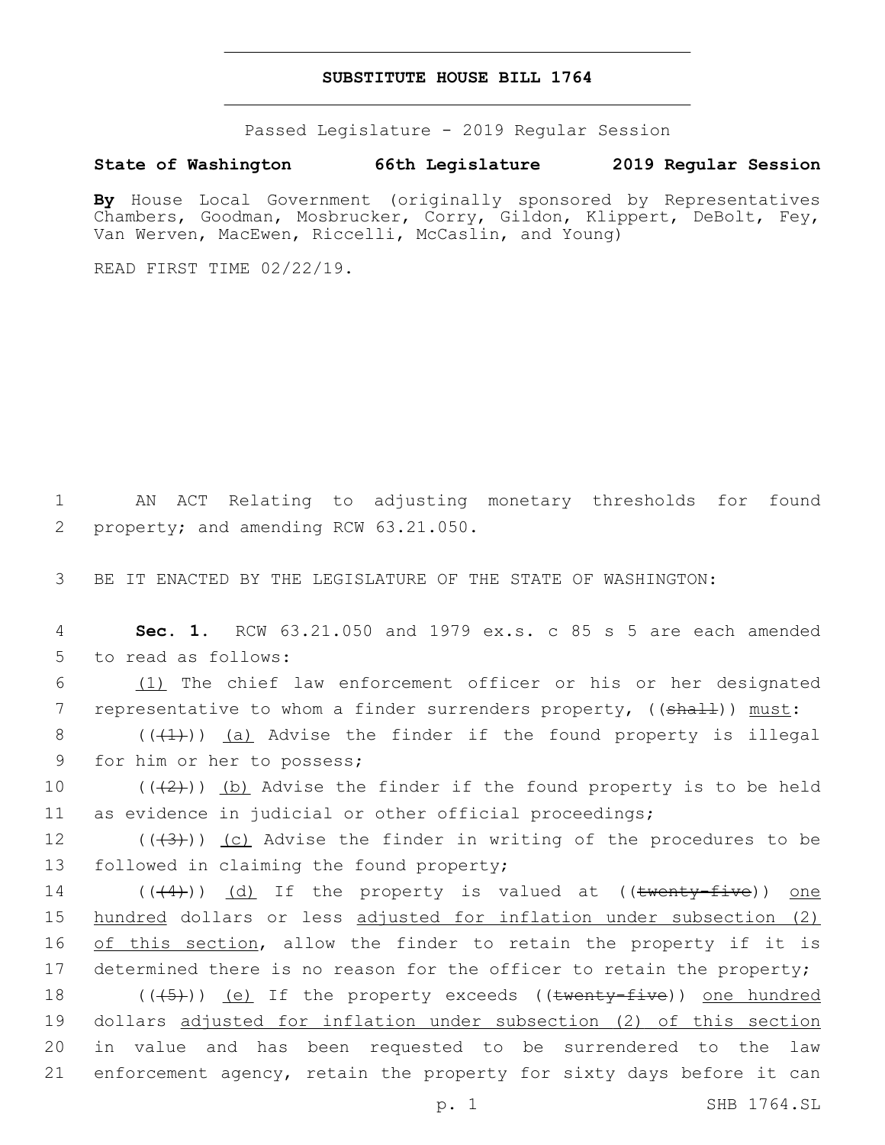## **SUBSTITUTE HOUSE BILL 1764**

Passed Legislature - 2019 Regular Session

## **State of Washington 66th Legislature 2019 Regular Session**

**By** House Local Government (originally sponsored by Representatives Chambers, Goodman, Mosbrucker, Corry, Gildon, Klippert, DeBolt, Fey, Van Werven, MacEwen, Riccelli, McCaslin, and Young)

READ FIRST TIME 02/22/19.

1 AN ACT Relating to adjusting monetary thresholds for found 2 property; and amending RCW 63.21.050.

3 BE IT ENACTED BY THE LEGISLATURE OF THE STATE OF WASHINGTON:

4 **Sec. 1.** RCW 63.21.050 and 1979 ex.s. c 85 s 5 are each amended 5 to read as follows:

6 (1) The chief law enforcement officer or his or her designated 7 representative to whom a finder surrenders property, ((shall)) must:

8  $((+1))$  (a) Advise the finder if the found property is illegal 9 for him or her to possess;

10  $((+2+))$  (b) Advise the finder if the found property is to be held 11 as evidence in judicial or other official proceedings;

12  $((\langle 3 \rangle))$  (c) Advise the finder in writing of the procedures to be 13 followed in claiming the found property;

14 (((4))) (d) If the property is valued at ((twenty-five)) one 15 hundred dollars or less adjusted for inflation under subsection (2) 16 of this section, allow the finder to retain the property if it is 17 determined there is no reason for the officer to retain the property;

18 (((+5)) (e) If the property exceeds ((twenty-five)) one hundred 19 dollars adjusted for inflation under subsection (2) of this section 20 in value and has been requested to be surrendered to the law 21 enforcement agency, retain the property for sixty days before it can